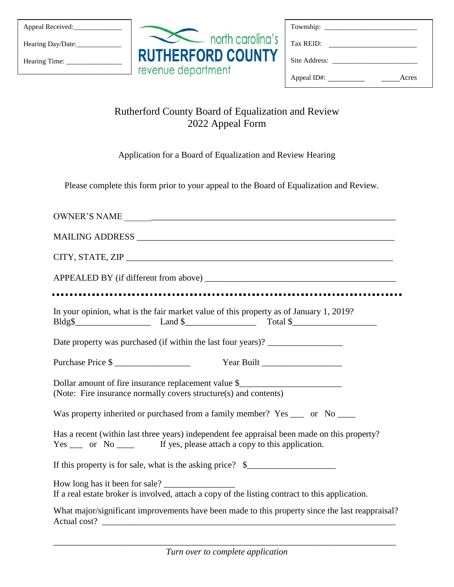Hearing Day/Date:\_\_\_\_\_\_\_\_\_\_\_\_

Hearing Time: \_\_\_\_\_\_\_\_\_\_\_\_\_\_\_

|                                                | north carolina's |
|------------------------------------------------|------------------|
| <b>RUTHERFORD COUNTY</b><br>revenue department |                  |

| Township:<br>the control of the control of    |  |
|-----------------------------------------------|--|
| Tax REID:                                     |  |
| Site Address:                                 |  |
| Appeal ID#: $\overline{\phantom{a}}$<br>Acres |  |

## Rutherford County Board of Equalization and Review 2022 Appeal Form

Application for a Board of Equalization and Review Hearing

Please complete this form prior to your appeal to the Board of Equalization and Review.

| In your opinion, what is the fair market value of this property as of January 1, 2019?                                                                                                                                                   |  |  |  |  |  |  |
|------------------------------------------------------------------------------------------------------------------------------------------------------------------------------------------------------------------------------------------|--|--|--|--|--|--|
| Date property was purchased (if within the last four years)? ___________________                                                                                                                                                         |  |  |  |  |  |  |
| Purchase Price \$                                                                                                                                                                                                                        |  |  |  |  |  |  |
| Dollar amount of fire insurance replacement value \$<br>(Note: Fire insurance normally covers structure(s) and contents)                                                                                                                 |  |  |  |  |  |  |
| Was property inherited or purchased from a family member? Yes ____ or No ____                                                                                                                                                            |  |  |  |  |  |  |
| Has a recent (within last three years) independent fee appraisal been made on this property?<br>Yes _____ or No ______ If yes, please attach a copy to this application.                                                                 |  |  |  |  |  |  |
| If this property is for sale, what is the asking price? \$________________________                                                                                                                                                       |  |  |  |  |  |  |
| If a real estate broker is involved, attach a copy of the listing contract to this application.                                                                                                                                          |  |  |  |  |  |  |
| What major/significant improvements have been made to this property since the last reappraisal?<br>Actual cost?<br><u> 2000 - Jan James, president eta alderdizion eta alderdizion eta alderdiziona eta alderdiziona eta alderdizion</u> |  |  |  |  |  |  |